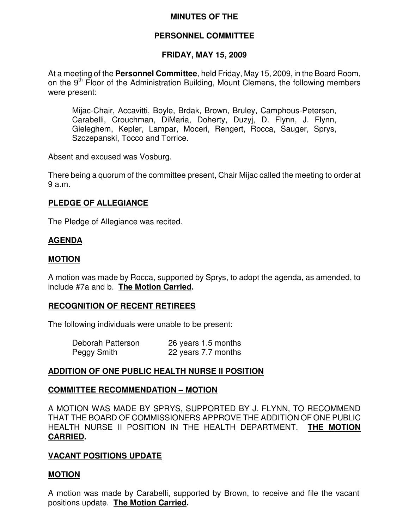# **MINUTES OF THE**

# **PERSONNEL COMMITTEE**

# **FRIDAY, MAY 15, 2009**

At a meeting of the **Personnel Committee**, held Friday, May 15, 2009, in the Board Room, on the 9<sup>th</sup> Floor of the Administration Building, Mount Clemens, the following members were present:

Mijac-Chair, Accavitti, Boyle, Brdak, Brown, Bruley, Camphous-Peterson, Carabelli, Crouchman, DiMaria, Doherty, Duzyj, D. Flynn, J. Flynn, Gieleghem, Kepler, Lampar, Moceri, Rengert, Rocca, Sauger, Sprys, Szczepanski, Tocco and Torrice.

Absent and excused was Vosburg.

There being a quorum of the committee present, Chair Mijac called the meeting to order at 9 a.m.

# **PLEDGE OF ALLEGIANCE**

The Pledge of Allegiance was recited.

# **AGENDA**

#### **MOTION**

A motion was made by Rocca, supported by Sprys, to adopt the agenda, as amended, to include #7a and b. **The Motion Carried.**

#### **RECOGNITION OF RECENT RETIREES**

The following individuals were unable to be present:

| Deborah Patterson | 26 years 1.5 months |
|-------------------|---------------------|
| Peggy Smith       | 22 years 7.7 months |

# **ADDITION OF ONE PUBLIC HEALTH NURSE II POSITION**

#### **COMMITTEE RECOMMENDATION – MOTION**

A MOTION WAS MADE BY SPRYS, SUPPORTED BY J. FLYNN, TO RECOMMEND THAT THE BOARD OF COMMISSIONERS APPROVE THE ADDITION OF ONE PUBLIC HEALTH NURSE II POSITION IN THE HEALTH DEPARTMENT. **THE MOTION CARRIED.**

#### **VACANT POSITIONS UPDATE**

#### **MOTION**

A motion was made by Carabelli, supported by Brown, to receive and file the vacant positions update. **The Motion Carried.**